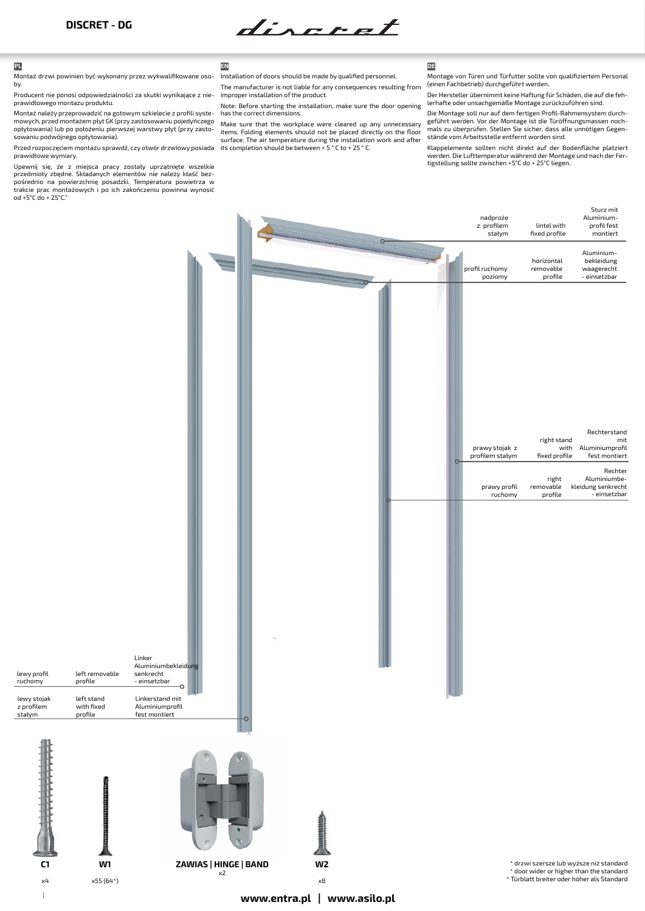discret

**C1** x4

lewy stojak z profilem stałym

lewy profil ruchomy

Montaż drzwi powinien być wykonany przez wykwalifikowane osoby.

Producent nie ponosi odpowiedzialności za skutki wynikające z nieprawidłowego montażu produktu.

Montaż należy przeprowadzić na gotowym szkielecie z profili systemowych, przed montażem płyt GK (przy zastosowaniu pojedyńczego opłytowania) lub po położeniu pierwszej warstwy płyt (przy zastosowaniu podwójnego opłytowania).

Przed rozpoczęciem montażu sprawdź, czy otwór drzwiowy posiada prawidłowe wymiary.

Upewnij się, że z miejsca pracy zostały uprzątnięte wszelkie przedmioty zbędne. Składanych elementów nie należy kłaść bez-pośrednio na powierzchnię posadzki. Temperatura powietrza w trakcie prac montażowych i po ich zakończeniu powinna wynosić od +5°C do + 25°C."



Installation of doors should be made by qualified personnel.

The manufacturer is not liable for any consequences resulting from improper installation of the product.

Note: Before starting the installation, make sure the door opening has the correct dimensions.

Make sure that the workplace were cleared up any unnecessary items. Folding elements should not be placed directly on the floor surface. The air temperature during the installation work and after its completion should be between + 5 ° C to + 25 ° C.

Montage von Türen und Türfutter sollte von qualifiziertem Personal (einen Fachbetrieb) durchgeführt werden.

Der Hersteller übernimmt keine Haftung für Schäden, die auf die fehlerhafte oder unsachgemäße Montage zurückzuführen sind.

Die Montage soll nur auf dem fertigen Profil-Rahmensystem durchgeführt werden. Vor der Montage ist die Türöffnungsmassen nochmals zu überprüfen. Stellen Sie sicher, dass alle unnötigen Gegenstände vom Arbeitsstelle entfernt worden sind.

Klappelemente sollten nicht direkt auf der Bodenfläche platziert werden. Die Lufttemperatur während der Montage und nach der Fertigstellung sollte zwischen +5°C do + 25°C liegen.

|                                                                  |                                                                                                                        |                              | O       | nadproże<br>z profilem<br>stałym                             | lintel with<br>fixed profile                                          | Sturz mit<br>Aluminium-<br>profil fest<br>montiert                                                                                         |
|------------------------------------------------------------------|------------------------------------------------------------------------------------------------------------------------|------------------------------|---------|--------------------------------------------------------------|-----------------------------------------------------------------------|--------------------------------------------------------------------------------------------------------------------------------------------|
|                                                                  |                                                                                                                        |                              |         | profil ruchomy<br>poziomy                                    | horizontal<br>removable<br>profile                                    | Aluminium-<br>bekleidung<br>waagerecht<br>- einsetzbar                                                                                     |
| left removable<br>profile<br>left stand<br>with fixed<br>profile | Linker<br>Aluminiumbekleidung<br>senkrecht<br>- einsetzbar<br>o<br>Linkerstand mit<br>Aluminiumprofil<br>fest montiert |                              | $\circ$ | prawy stojak z<br>profilem stałym<br>prawy profil<br>ruchomy | right stand<br>with<br>fixed profile<br>right<br>removable<br>profile | Rechterstand<br>mit<br>Aluminiumprofil<br>fest montiert<br>Rechter<br>Aluminiumbe-<br>kleidung senkrecht<br>- einsetzbar                   |
| <b>TERRITORISTICISTICISTICISTIC</b>                              |                                                                                                                        |                              |         |                                                              |                                                                       |                                                                                                                                            |
| W1<br>$x55(64*)$                                                 | <b>ZAWIAS   HINGE   BAND</b>                                                                                           | W <sub>2</sub><br>$\times 8$ |         |                                                              |                                                                       | $^\ast$ drzwi szersze lub wyższe niż standard $^\ast$ door wider or higher than the standard<br>* Türblatt breiter oder höher als Standard |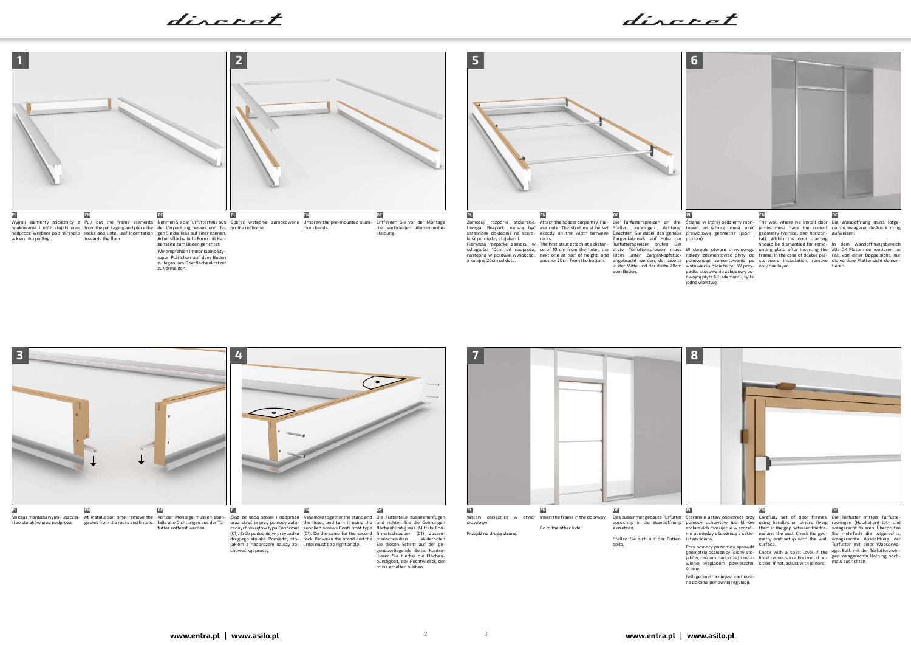**www.entra.pl | www.asilo.pl www.entra.pl | www.asilo.pl** <sup>2</sup> <sup>3</sup>





discret



bündigkeit, der Rechtwinkel, der muss erhalten bleiben.



na dokonaj ponownej regulacji.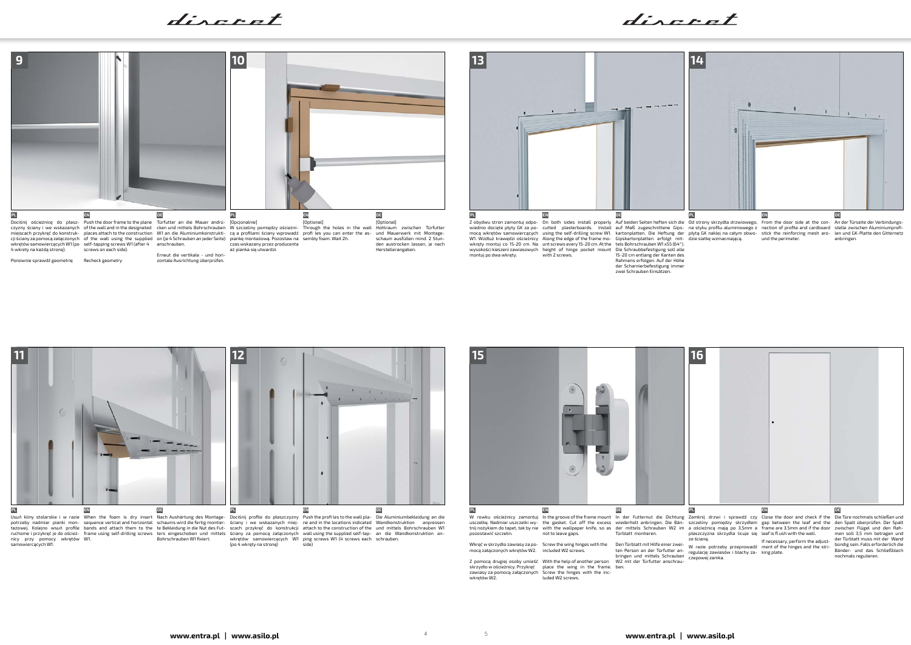discret

discret



samowiercących W1.



Z pomocą drugiej osoby umieść With the help of another person W2 mit der Türfutter anschrauskrzydło w ościeżnicy. Przykręć zawiasy za pomocą załączonych wkrętów W2. place the wing in the frame. Screw the hinges with the inc-luded W2 screws.

side) (po 4 wkręty na stronę)

ruchome i przykręć je do oścież- frame using self-drilling screws ters eingeschoben und mittels ściany za pomocą załączonych wall using the supplied self-tap- an die Wandkonstruktion an-<br>nicy przy pomocy wkrętów W1.



Wkręć w skrzydło zawiasy za po-mocą załączonych wkrętów W2. Screw the wing hinges with the included W2 screws. Den Türblatt mit Hilfe einer zwei-ten Person an der Türfutter an-bringen und mittels Schrauben



ben.

ze ścianą.

W razie potrzeby przeprowadź regulację zawiasów i blachy za-czepowej zamka.

ment of the hinges and the stri-king plate.

If necessary, perform the adjust-der Türblatt muss mit der Wand bündig sein. Falls erforderlich die Bänder- und das Schließblech nochmals regulieren.